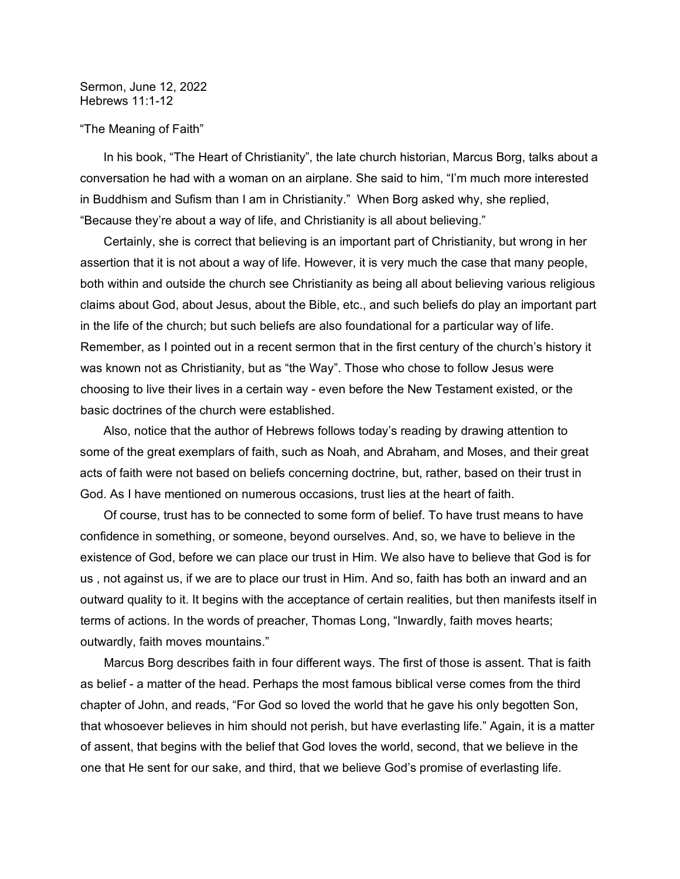## Sermon, June 12, 2022 Hebrews 11:1-12

## "The Meaning of Faith"

 In his book, "The Heart of Christianity", the late church historian, Marcus Borg, talks about a conversation he had with a woman on an airplane. She said to him, "I'm much more interested in Buddhism and Sufism than I am in Christianity." When Borg asked why, she replied, "Because they're about a way of life, and Christianity is all about believing."

 Certainly, she is correct that believing is an important part of Christianity, but wrong in her assertion that it is not about a way of life. However, it is very much the case that many people, both within and outside the church see Christianity as being all about believing various religious claims about God, about Jesus, about the Bible, etc., and such beliefs do play an important part in the life of the church; but such beliefs are also foundational for a particular way of life. Remember, as I pointed out in a recent sermon that in the first century of the church's history it was known not as Christianity, but as "the Way". Those who chose to follow Jesus were choosing to live their lives in a certain way - even before the New Testament existed, or the basic doctrines of the church were established.

 Also, notice that the author of Hebrews follows today's reading by drawing attention to some of the great exemplars of faith, such as Noah, and Abraham, and Moses, and their great acts of faith were not based on beliefs concerning doctrine, but, rather, based on their trust in God. As I have mentioned on numerous occasions, trust lies at the heart of faith.

 Of course, trust has to be connected to some form of belief. To have trust means to have confidence in something, or someone, beyond ourselves. And, so, we have to believe in the existence of God, before we can place our trust in Him. We also have to believe that God is for us , not against us, if we are to place our trust in Him. And so, faith has both an inward and an outward quality to it. It begins with the acceptance of certain realities, but then manifests itself in terms of actions. In the words of preacher, Thomas Long, "Inwardly, faith moves hearts; outwardly, faith moves mountains."

 Marcus Borg describes faith in four different ways. The first of those is assent. That is faith as belief - a matter of the head. Perhaps the most famous biblical verse comes from the third chapter of John, and reads, "For God so loved the world that he gave his only begotten Son, that whosoever believes in him should not perish, but have everlasting life." Again, it is a matter of assent, that begins with the belief that God loves the world, second, that we believe in the one that He sent for our sake, and third, that we believe God's promise of everlasting life.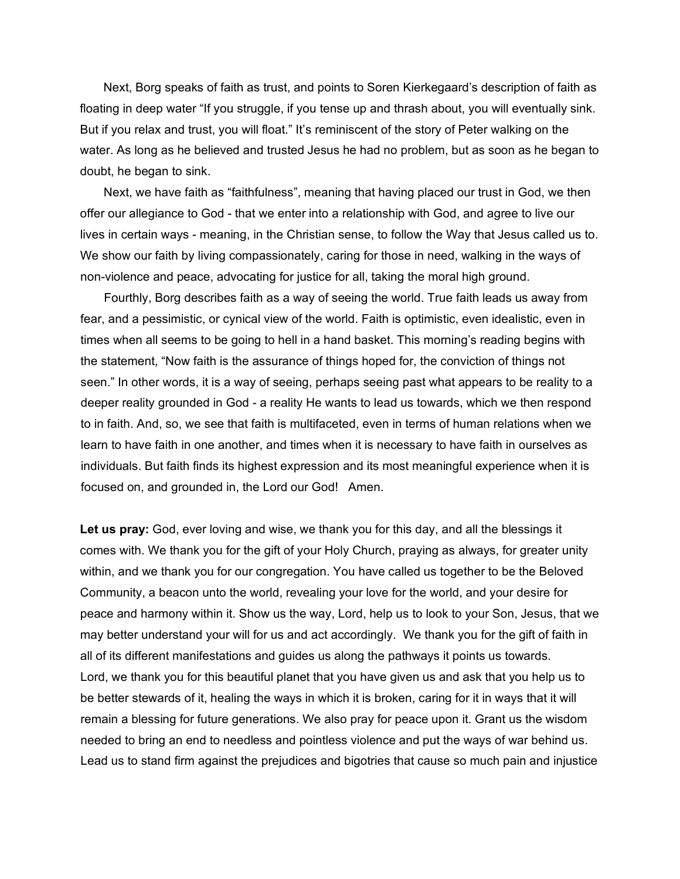Next, Borg speaks of faith as trust, and points to Soren Kierkegaard's description of faith as floating in deep water "If you struggle, if you tense up and thrash about, you will eventually sink. But if you relax and trust, you will float." It's reminiscent of the story of Peter walking on the water. As long as he believed and trusted Jesus he had no problem, but as soon as he began to doubt, he began to sink.

 Next, we have faith as "faithfulness", meaning that having placed our trust in God, we then offer our allegiance to God - that we enter into a relationship with God, and agree to live our lives in certain ways - meaning, in the Christian sense, to follow the Way that Jesus called us to. We show our faith by living compassionately, caring for those in need, walking in the ways of non-violence and peace, advocating for justice for all, taking the moral high ground.

 Fourthly, Borg describes faith as a way of seeing the world. True faith leads us away from fear, and a pessimistic, or cynical view of the world. Faith is optimistic, even idealistic, even in times when all seems to be going to hell in a hand basket. This morning's reading begins with the statement, "Now faith is the assurance of things hoped for, the conviction of things not seen." In other words, it is a way of seeing, perhaps seeing past what appears to be reality to a deeper reality grounded in God - a reality He wants to lead us towards, which we then respond to in faith. And, so, we see that faith is multifaceted, even in terms of human relations when we learn to have faith in one another, and times when it is necessary to have faith in ourselves as individuals. But faith finds its highest expression and its most meaningful experience when it is focused on, and grounded in, the Lord our God! Amen.

**Let us pray:** God, ever loving and wise, we thank you for this day, and all the blessings it comes with. We thank you for the gift of your Holy Church, praying as always, for greater unity within, and we thank you for our congregation. You have called us together to be the Beloved Community, a beacon unto the world, revealing your love for the world, and your desire for peace and harmony within it. Show us the way, Lord, help us to look to your Son, Jesus, that we may better understand your will for us and act accordingly. We thank you for the gift of faith in all of its different manifestations and guides us along the pathways it points us towards. Lord, we thank you for this beautiful planet that you have given us and ask that you help us to be better stewards of it, healing the ways in which it is broken, caring for it in ways that it will remain a blessing for future generations. We also pray for peace upon it. Grant us the wisdom needed to bring an end to needless and pointless violence and put the ways of war behind us. Lead us to stand firm against the prejudices and bigotries that cause so much pain and injustice